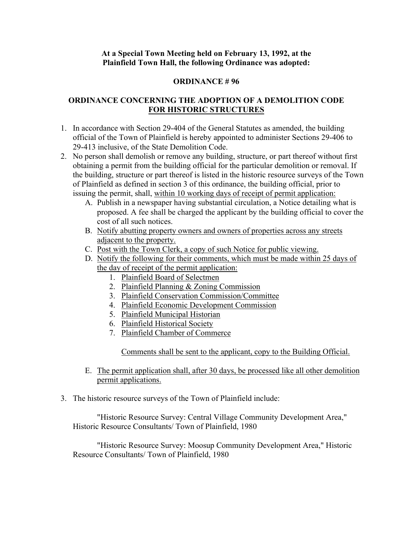## **At a Special Town Meeting held on February 13, 1992, at the Plainfield Town Hall, the following Ordinance was adopted:**

## **ORDINANCE # 96**

## **ORDINANCE CONCERNING THE ADOPTION OF A DEMOLITION CODE FOR HISTORIC STRUCTURES**

- 1. In accordance with Section 29-404 of the General Statutes as amended, the building official of the Town of Plainfield is hereby appointed to administer Sections 29-406 to 29-413 inclusive, of the State Demolition Code.
- 2. No person shall demolish or remove any building, structure, or part thereof without first obtaining a permit from the building official for the particular demolition or removal. If the building, structure or part thereof is listed in the historic resource surveys of the Town of Plainfield as defined in section 3 of this ordinance, the building official, prior to issuing the permit, shall, within 10 working days of receipt of permit application:
	- A. Publish in a newspaper having substantial circulation, a Notice detailing what is proposed. A fee shall be charged the applicant by the building official to cover the cost of all such notices.
	- B. Notify abutting property owners and owners of properties across any streets adjacent to the property.
	- C. Post with the Town Clerk, a copy of such Notice for public viewing.
	- D. Notify the following for their comments, which must be made within 25 days of the day of receipt of the permit application:
		- 1. Plainfield Board of Selectmen
		- 2. Plainfield Planning & Zoning Commission
		- 3. Plainfield Conservation Commission/Committee
		- 4. Plainfield Economic Development Commission
		- 5. Plainfield Municipal Historian
		- 6. Plainfield Historical Society
		- 7. Plainfield Chamber of Commerce

Comments shall be sent to the applicant, copy to the Building Official.

- E. The permit application shall, after 30 days, be processed like all other demolition permit applications.
- 3. The historic resource surveys of the Town of Plainfield include:

"Historic Resource Survey: Central Village Community Development Area," Historic Resource Consultants/ Town of Plainfield, 1980

"Historic Resource Survey: Moosup Community Development Area," Historic Resource Consultants/ Town of Plainfield, 1980